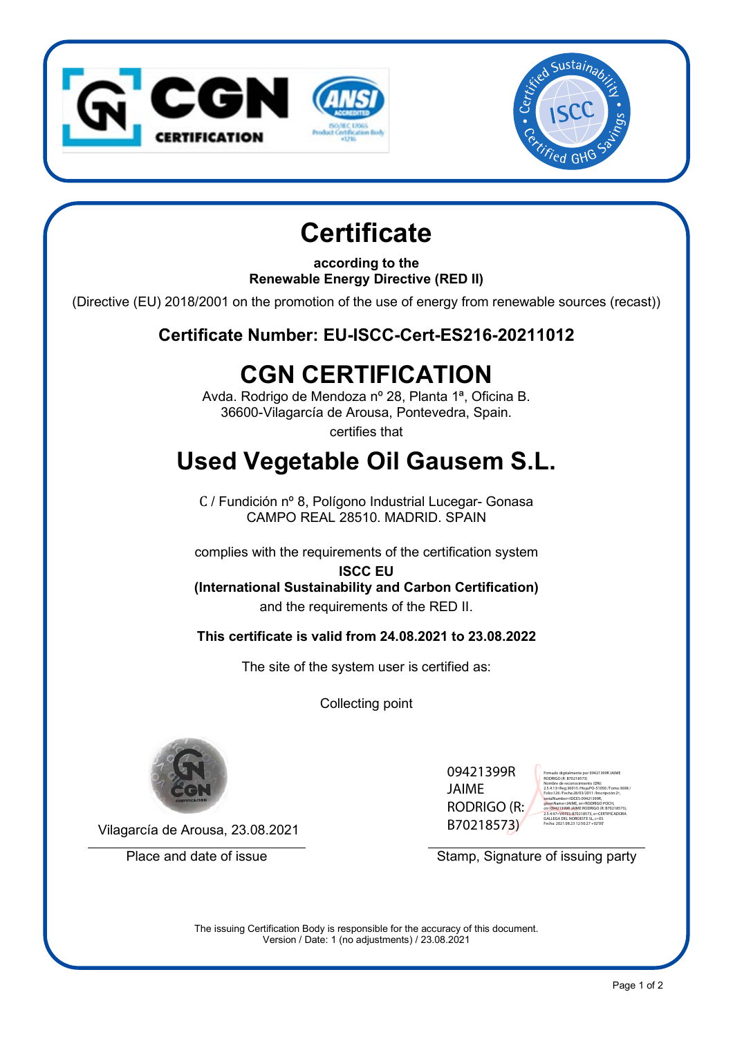



# **Certificate**

**according to the Renewable Energy Directive (RED II)**

(Directive (EU) 2018/2001 on the promotion of the use of energy from renewable sources (recast))

**Certificate Number: EU-ISCC-Cert-ES216-20211012**

## **CGN CERTIFICATION**

Avda. Rodrigo de Mendoza nº 28, Planta 1ª, Oficina B. 36600-Vilagarcía de Arousa, Pontevedra, Spain.

certifies that

## **Used Vegetable Oil Gausem S.L.**

C / Fundición nº 8, Polígono Industrial Lucegar- Gonasa CAMPO REAL 28510. MADRID. SPAIN

complies with the requirements of the certification system

**ISCC EU (International Sustainability and Carbon Certification)** and the requirements of the RED II.

**This certificate is valid from 24.08.2021 to 23.08.2022**

The site of the system user is certified as:

Collecting point



09421399R JAIME RODRIGO (R: B70218573)

Firmado digitalmente por 09421399R JAIME RODRIGO (R: B70218573) Nombre de reconocimiento (DN): 2.5.4.13=Reg:36015 /Hoja:PO-51050 /Tomo:3698 / Folio:126 /Fecha:28/03/2011 /Inscripción:2ª, serialNumber=IDCES-09421399R, givenName=JAIME, sn=RODRIGO POCH, cn=09421399R JAIME RODRIGO (R: B70218573), 2.5.4.97=VATES-B70218573, o=CERTIFICADORA GALLEGA DEL NOROESTE SL, c=ES Fecha: 2021.08.23 12:50:27 +02'00'

Vilagarcía de Arousa, 23.08.2021

Place and date of issue Stamp, Signature of issuing party

The issuing Certification Body is responsible for the accuracy of this document. Version / Date: 1 (no adjustments) / 23.08.2021